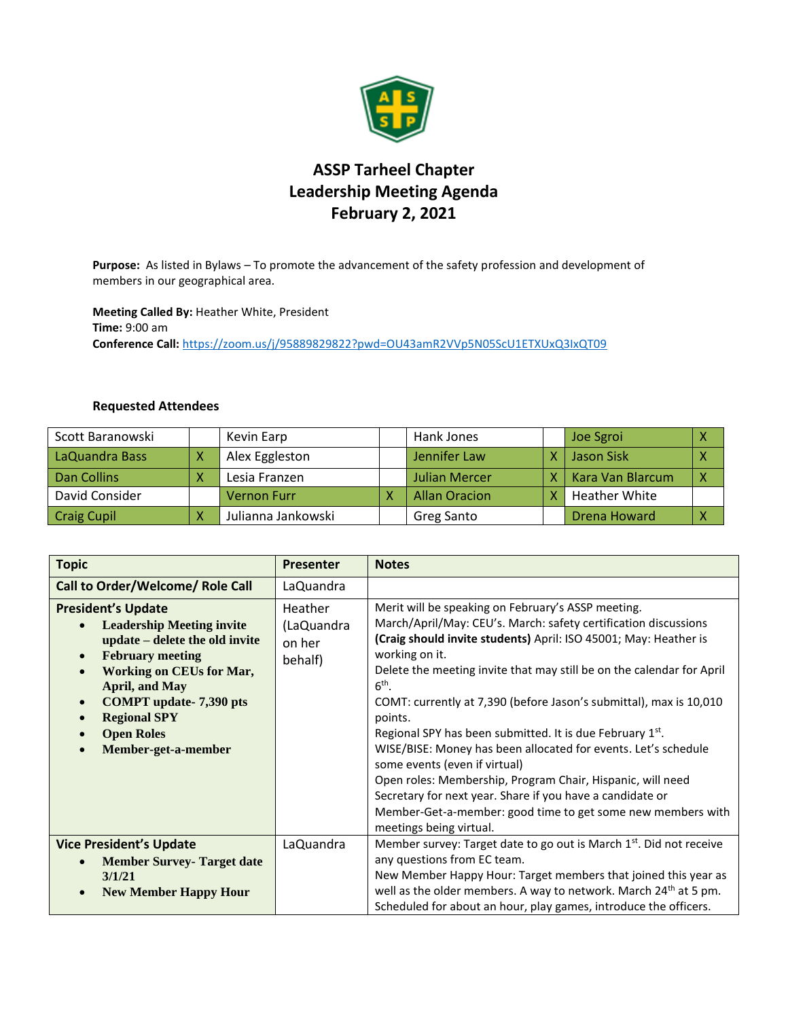

## **ASSP Tarheel Chapter Leadership Meeting Agenda February 2, 2021**

**Purpose:** As listed in Bylaws – To promote the advancement of the safety profession and development of members in our geographical area.

**Meeting Called By:** Heather White, President **Time:** 9:00 am **Conference Call:** <https://zoom.us/j/95889829822?pwd=OU43amR2VVp5N05ScU1ETXUxQ3IxQT09>

## **Requested Attendees**

| Scott Baranowski   | Kevin Earp         | Hank Jones           | Joe Sgroi               |  |
|--------------------|--------------------|----------------------|-------------------------|--|
| LaQuandra Bass     | Alex Eggleston     | Jennifer Law         | <b>Jason Sisk</b>       |  |
| <b>Dan Collins</b> | Lesia Franzen      | <b>Julian Mercer</b> | <b>Kara Van Blarcum</b> |  |
| David Consider     | <b>Vernon Furr</b> | <b>Allan Oracion</b> | <b>Heather White</b>    |  |
| <b>Craig Cupil</b> | Julianna Jankowski | Greg Santo           | Drena Howard            |  |

| <b>Topic</b>                                                                                                                                                                                                                                                                                                                                                | <b>Presenter</b>                           | <b>Notes</b>                                                                                                                                                                                                                                                                                                                                                                                                                                                                                                                                                                                                                                                                                                                                                         |
|-------------------------------------------------------------------------------------------------------------------------------------------------------------------------------------------------------------------------------------------------------------------------------------------------------------------------------------------------------------|--------------------------------------------|----------------------------------------------------------------------------------------------------------------------------------------------------------------------------------------------------------------------------------------------------------------------------------------------------------------------------------------------------------------------------------------------------------------------------------------------------------------------------------------------------------------------------------------------------------------------------------------------------------------------------------------------------------------------------------------------------------------------------------------------------------------------|
| Call to Order/Welcome/ Role Call                                                                                                                                                                                                                                                                                                                            | LaQuandra                                  |                                                                                                                                                                                                                                                                                                                                                                                                                                                                                                                                                                                                                                                                                                                                                                      |
| <b>President's Update</b><br><b>Leadership Meeting invite</b><br>$\bullet$<br>update – delete the old invite<br><b>February meeting</b><br>$\bullet$<br><b>Working on CEUs for Mar,</b><br>$\bullet$<br><b>April, and May</b><br><b>COMPT</b> update-7,390 pts<br>$\bullet$<br><b>Regional SPY</b><br>$\bullet$<br><b>Open Roles</b><br>Member-get-a-member | Heather<br>(LaQuandra<br>on her<br>behalf) | Merit will be speaking on February's ASSP meeting.<br>March/April/May: CEU's. March: safety certification discussions<br>(Craig should invite students) April: ISO 45001; May: Heather is<br>working on it.<br>Delete the meeting invite that may still be on the calendar for April<br>$6th$ .<br>COMT: currently at 7,390 (before Jason's submittal), max is 10,010<br>points.<br>Regional SPY has been submitted. It is due February 1st.<br>WISE/BISE: Money has been allocated for events. Let's schedule<br>some events (even if virtual)<br>Open roles: Membership, Program Chair, Hispanic, will need<br>Secretary for next year. Share if you have a candidate or<br>Member-Get-a-member: good time to get some new members with<br>meetings being virtual. |
| <b>Vice President's Update</b><br><b>Member Survey- Target date</b><br>$\bullet$<br>3/1/21<br><b>New Member Happy Hour</b><br>$\bullet$                                                                                                                                                                                                                     | LaQuandra                                  | Member survey: Target date to go out is March 1 <sup>st</sup> . Did not receive<br>any questions from EC team.<br>New Member Happy Hour: Target members that joined this year as<br>well as the older members. A way to network. March 24 <sup>th</sup> at 5 pm.<br>Scheduled for about an hour, play games, introduce the officers.                                                                                                                                                                                                                                                                                                                                                                                                                                 |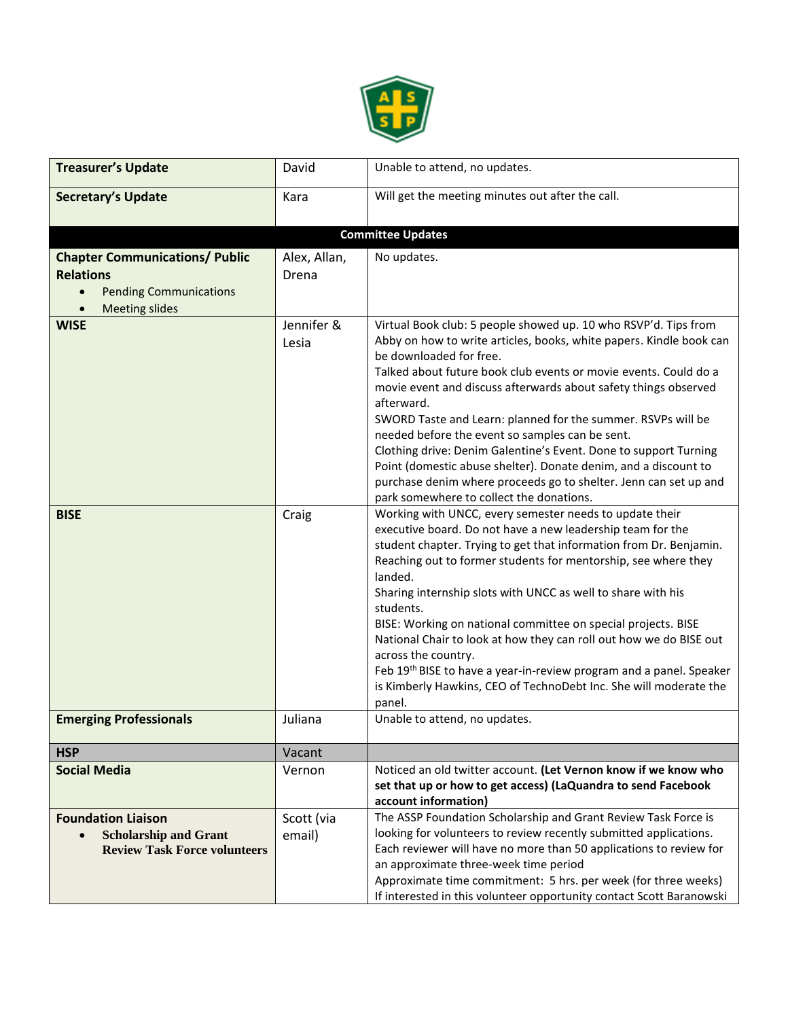

| <b>Treasurer's Update</b>                                                                                                        | David                 | Unable to attend, no updates.                                                                                                                                                                                                                                                                                                                                                                                                                                                                                                                                                                                                                                                                    |  |  |
|----------------------------------------------------------------------------------------------------------------------------------|-----------------------|--------------------------------------------------------------------------------------------------------------------------------------------------------------------------------------------------------------------------------------------------------------------------------------------------------------------------------------------------------------------------------------------------------------------------------------------------------------------------------------------------------------------------------------------------------------------------------------------------------------------------------------------------------------------------------------------------|--|--|
| <b>Secretary's Update</b>                                                                                                        | Kara                  | Will get the meeting minutes out after the call.                                                                                                                                                                                                                                                                                                                                                                                                                                                                                                                                                                                                                                                 |  |  |
| <b>Committee Updates</b>                                                                                                         |                       |                                                                                                                                                                                                                                                                                                                                                                                                                                                                                                                                                                                                                                                                                                  |  |  |
| <b>Chapter Communications/ Public</b><br><b>Relations</b><br><b>Pending Communications</b><br>$\bullet$<br><b>Meeting slides</b> | Alex, Allan,<br>Drena | No updates.                                                                                                                                                                                                                                                                                                                                                                                                                                                                                                                                                                                                                                                                                      |  |  |
| <b>WISE</b>                                                                                                                      | Jennifer &<br>Lesia   | Virtual Book club: 5 people showed up. 10 who RSVP'd. Tips from<br>Abby on how to write articles, books, white papers. Kindle book can<br>be downloaded for free.<br>Talked about future book club events or movie events. Could do a<br>movie event and discuss afterwards about safety things observed<br>afterward.<br>SWORD Taste and Learn: planned for the summer. RSVPs will be<br>needed before the event so samples can be sent.<br>Clothing drive: Denim Galentine's Event. Done to support Turning<br>Point (domestic abuse shelter). Donate denim, and a discount to<br>purchase denim where proceeds go to shelter. Jenn can set up and<br>park somewhere to collect the donations. |  |  |
| <b>BISE</b>                                                                                                                      | Craig                 | Working with UNCC, every semester needs to update their<br>executive board. Do not have a new leadership team for the<br>student chapter. Trying to get that information from Dr. Benjamin.<br>Reaching out to former students for mentorship, see where they<br>landed.<br>Sharing internship slots with UNCC as well to share with his<br>students.<br>BISE: Working on national committee on special projects. BISE<br>National Chair to look at how they can roll out how we do BISE out<br>across the country.<br>Feb 19 <sup>th</sup> BISE to have a year-in-review program and a panel. Speaker<br>is Kimberly Hawkins, CEO of TechnoDebt Inc. She will moderate the<br>panel.            |  |  |
| <b>Emerging Professionals</b>                                                                                                    | Juliana               | Unable to attend, no updates.                                                                                                                                                                                                                                                                                                                                                                                                                                                                                                                                                                                                                                                                    |  |  |
| <b>HSP</b>                                                                                                                       | Vacant                |                                                                                                                                                                                                                                                                                                                                                                                                                                                                                                                                                                                                                                                                                                  |  |  |
| <b>Social Media</b>                                                                                                              | Vernon                | Noticed an old twitter account. (Let Vernon know if we know who<br>set that up or how to get access) (LaQuandra to send Facebook<br>account information)                                                                                                                                                                                                                                                                                                                                                                                                                                                                                                                                         |  |  |
| <b>Foundation Liaison</b><br><b>Scholarship and Grant</b><br><b>Review Task Force volunteers</b>                                 | Scott (via<br>email)  | The ASSP Foundation Scholarship and Grant Review Task Force is<br>looking for volunteers to review recently submitted applications.<br>Each reviewer will have no more than 50 applications to review for<br>an approximate three-week time period<br>Approximate time commitment: 5 hrs. per week (for three weeks)<br>If interested in this volunteer opportunity contact Scott Baranowski                                                                                                                                                                                                                                                                                                     |  |  |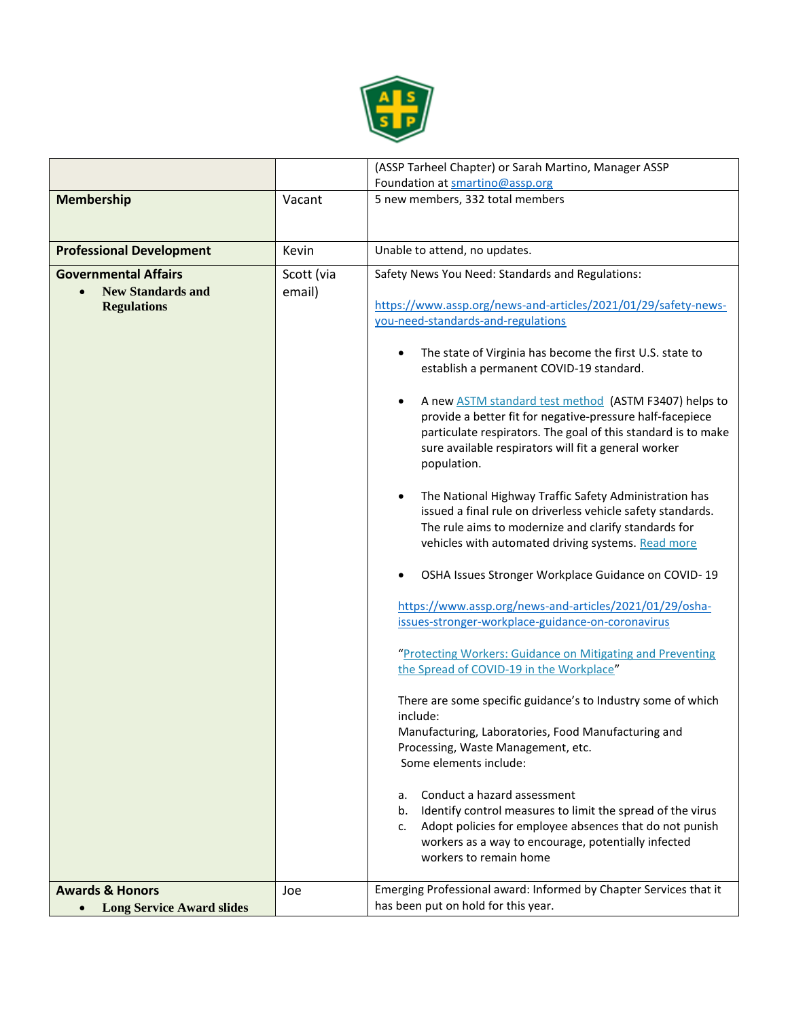

|                                                                |            | (ASSP Tarheel Chapter) or Sarah Martino, Manager ASSP                                                                                                                                                                                                             |
|----------------------------------------------------------------|------------|-------------------------------------------------------------------------------------------------------------------------------------------------------------------------------------------------------------------------------------------------------------------|
|                                                                |            | Foundation at smartino@assp.org                                                                                                                                                                                                                                   |
| <b>Membership</b>                                              | Vacant     | 5 new members, 332 total members                                                                                                                                                                                                                                  |
| <b>Professional Development</b>                                | Kevin      | Unable to attend, no updates.                                                                                                                                                                                                                                     |
| <b>Governmental Affairs</b>                                    | Scott (via | Safety News You Need: Standards and Regulations:                                                                                                                                                                                                                  |
| <b>New Standards and</b><br><b>Regulations</b>                 | email)     | https://www.assp.org/news-and-articles/2021/01/29/safety-news-<br>you-need-standards-and-regulations                                                                                                                                                              |
|                                                                |            | The state of Virginia has become the first U.S. state to<br>establish a permanent COVID-19 standard.                                                                                                                                                              |
|                                                                |            | A new <b>ASTM</b> standard test method (ASTM F3407) helps to<br>provide a better fit for negative-pressure half-facepiece<br>particulate respirators. The goal of this standard is to make<br>sure available respirators will fit a general worker<br>population. |
|                                                                |            | The National Highway Traffic Safety Administration has<br>issued a final rule on driverless vehicle safety standards.<br>The rule aims to modernize and clarify standards for<br>vehicles with automated driving systems. Read more                               |
|                                                                |            | OSHA Issues Stronger Workplace Guidance on COVID-19                                                                                                                                                                                                               |
|                                                                |            | https://www.assp.org/news-and-articles/2021/01/29/osha-<br>issues-stronger-workplace-guidance-on-coronavirus                                                                                                                                                      |
|                                                                |            | "Protecting Workers: Guidance on Mitigating and Preventing<br>the Spread of COVID-19 in the Workplace"                                                                                                                                                            |
|                                                                |            | There are some specific guidance's to Industry some of which<br>include:<br>Manufacturing, Laboratories, Food Manufacturing and<br>Processing, Waste Management, etc.<br>Some elements include:                                                                   |
|                                                                |            | Conduct a hazard assessment<br>a.<br>Identify control measures to limit the spread of the virus<br>b.<br>Adopt policies for employee absences that do not punish<br>c.<br>workers as a way to encourage, potentially infected<br>workers to remain home           |
| <b>Awards &amp; Honors</b><br><b>Long Service Award slides</b> | Joe        | Emerging Professional award: Informed by Chapter Services that it<br>has been put on hold for this year.                                                                                                                                                          |